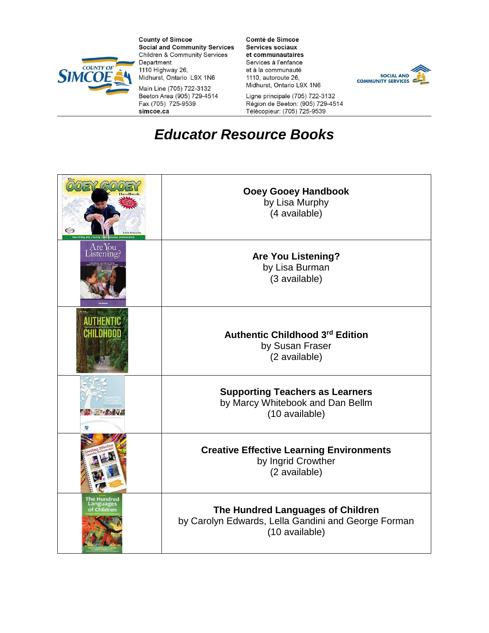

**County of Simcoe Social and Community Services Children & Community Services** Department 1110 Highway 26, Midhurst, Ontario L9X 1N6

Main Line (705) 722-3132 Beeton Area (905) 729-4514 Fax (705) 725-9539 simcoe.ca

Comté de Simcoe Services sociaux et communautaires Services à l'enfance et à la communauté 1110, autoroute 26, Midhurst, Ontario L9X 1N6



Ligne principale (705) 722-3132 Région de Beeton: (905) 729-4514<br>Télécopieur: (705) 725-9539

## **Educator Resource Books**

| ො                               | <b>Ooey Gooey Handbook</b><br>by Lisa Murphy<br>(4 available)                                              |
|---------------------------------|------------------------------------------------------------------------------------------------------------|
| Are You<br>Listening?           | <b>Are You Listening?</b><br>by Lisa Burman<br>(3 available)                                               |
|                                 | Authentic Childhood 3rd Edition<br>by Susan Fraser<br>(2 available)                                        |
| 嗬                               | <b>Supporting Teachers as Learners</b><br>by Marcy Whitebook and Dan Bellm<br>(10 available)               |
|                                 | <b>Creative Effective Learning Environments</b><br>by Ingrid Crowther<br>(2 available)                     |
| e Hundred<br>anguages<br>Childn | The Hundred Languages of Children<br>by Carolyn Edwards, Lella Gandini and George Forman<br>(10 available) |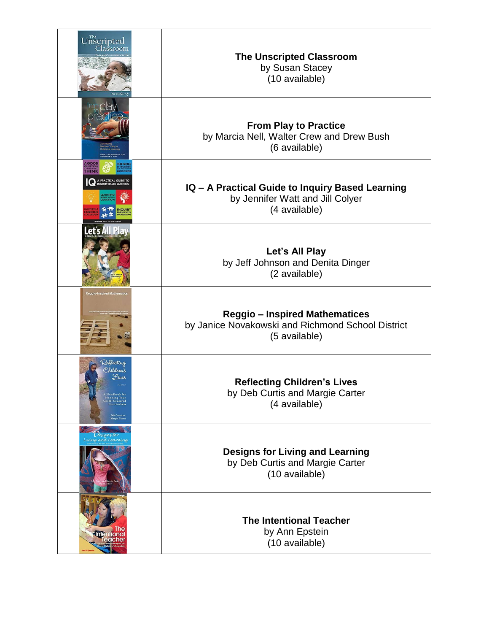| $U$ <sub>nscripted</sub>                                                                                                                     | <b>The Unscripted Classroom</b><br>by Susan Stacey<br>(10 available)                                        |
|----------------------------------------------------------------------------------------------------------------------------------------------|-------------------------------------------------------------------------------------------------------------|
|                                                                                                                                              | <b>From Play to Practice</b><br>by Marcia Nell, Walter Crew and Drew Bush<br>(6 available)                  |
| A PRACTICAL GUIDE TO<br>INQUIRY-BASED LEARNING                                                                                               | IQ - A Practical Guide to Inquiry Based Learning<br>by Jennifer Watt and Jill Colyer<br>(4 available)       |
| Let's All Play                                                                                                                               | Let's All Play<br>by Jeff Johnson and Denita Dinger<br>(2 available)                                        |
| Reggio-Inspired Mathematic                                                                                                                   | <b>Reggio - Inspired Mathematices</b><br>by Janice Novakowski and Richmond School District<br>(5 available) |
| Reflecting<br>Children's<br>Lives<br><b>Mandbook</b> for<br>Planning Your<br>Child-Centered<br>Curriculum<br>Deb Curtis AND<br>Margie Carter | <b>Reflecting Children's Lives</b><br>by Deb Curtis and Margie Carter<br>(4 available)                      |
| Jesigns for<br>Living and Learning                                                                                                           | <b>Designs for Living and Learning</b><br>by Deb Curtis and Margie Carter<br>(10 available)                 |
| <b>The</b><br>Intentional                                                                                                                    | <b>The Intentional Teacher</b><br>by Ann Epstein<br>(10 available)                                          |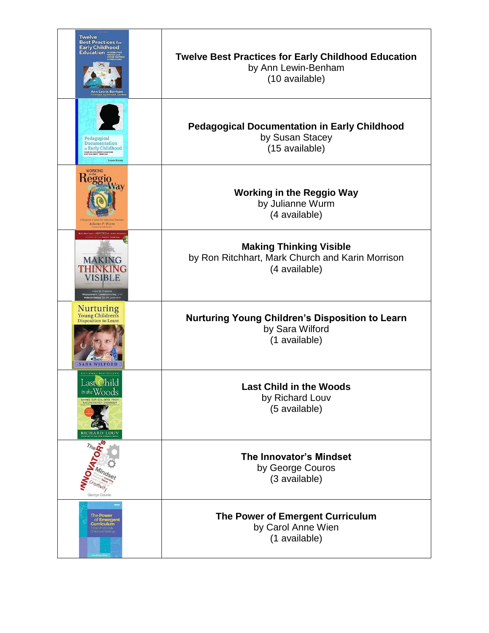| <b>Twelve</b><br><b>Best Practices for</b><br><b>Early Childhood</b><br><b>Education INTEGRATING</b><br>Ann Lewin-Benham<br>Foreword by Howard Gardne | <b>Twelve Best Practices for Early Childhood Education</b><br>by Ann Lewin-Benham<br>(10 available) |
|-------------------------------------------------------------------------------------------------------------------------------------------------------|-----------------------------------------------------------------------------------------------------|
| Pedagogical<br>Documentation<br>in Early Childhood<br>SHARING CHILDREN'S LEARNING<br>AND TEACHERS' THINKING<br><b>Susan Stacey</b>                    | <b>Pedagogical Documentation in Early Childhood</b><br>by Susan Stacey<br>(15 available)            |
| <b>WORKING</b><br>Reggio<br>way<br>Julianne P. Wurm                                                                                                   | <b>Working in the Reggio Way</b><br>by Julianne Wurm<br>(4 available)                               |
| Ritchhart - Mark Church - Karin Me<br><b>MAKING</b><br>THINKING<br><b>VISIBLE</b><br>nent, Understanding, and<br>Independence for All Learners        | <b>Making Thinking Visible</b><br>by Ron Ritchhart, Mark Church and Karin Morrison<br>(4 available) |
| <b>Nurturing</b><br><b>Young Children's</b><br><b>Disposition to Learn</b><br><b>SARA WILFORD</b>                                                     | Nurturing Young Children's Disposition to Learn<br>by Sara Wilford<br>(1 available)                 |
| Last Child<br>in the Woods<br>SAVING OUR CHILDREN FROM<br>NATURE-DEFICIT DISORDER<br><b>RICHARD LOUV</b>                                              | <b>Last Child in the Woods</b><br>by Richard Louv<br>(5 available)                                  |
| The at<br>George Couros                                                                                                                               | <b>The Innovator's Mindset</b><br>by George Couros<br>(3 available)                                 |
| The <b>Power</b><br>of Emergent<br><b>Curriculum</b><br>Childhood Settings                                                                            | The Power of Emergent Curriculum<br>by Carol Anne Wien<br>(1 available)                             |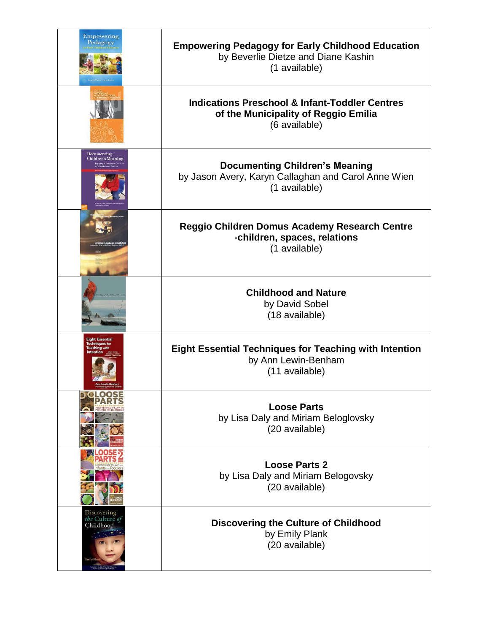| <b>Empowering</b><br>Pedagogy                                           | <b>Empowering Pedagogy for Early Childhood Education</b><br>by Beverlie Dietze and Diane Kashin<br>(1 available)   |
|-------------------------------------------------------------------------|--------------------------------------------------------------------------------------------------------------------|
|                                                                         | <b>Indications Preschool &amp; Infant-Toddler Centres</b><br>of the Municipality of Reggio Emilia<br>(6 available) |
| Documenting<br><b>Children's Meaning</b>                                | <b>Documenting Children's Meaning</b><br>by Jason Avery, Karyn Callaghan and Carol Anne Wien<br>(1 available)      |
|                                                                         | <b>Reggio Children Domus Academy Research Centre</b><br>-children, spaces, relations<br>(1 available)              |
| HOOD AND NATE                                                           | <b>Childhood and Nature</b><br>by David Sobel<br>(18 available)                                                    |
| <b>Eight Essential</b><br><b>Techniques for</b><br><b>Teaching with</b> | <b>Eight Essential Techniques for Teaching with Intention</b><br>by Ann Lewin-Benham<br>(11 available)             |
| <b>IO</b><br><b>005</b>                                                 | <b>Loose Parts</b><br>by Lisa Daly and Miriam Beloglovsky<br>(20 available)                                        |
|                                                                         | <b>Loose Parts 2</b><br>by Lisa Daly and Miriam Belogovsky<br>(20 available)                                       |
| Discovering<br>the Culture of<br>Childhood                              | <b>Discovering the Culture of Childhood</b><br>by Emily Plank<br>(20 available)                                    |